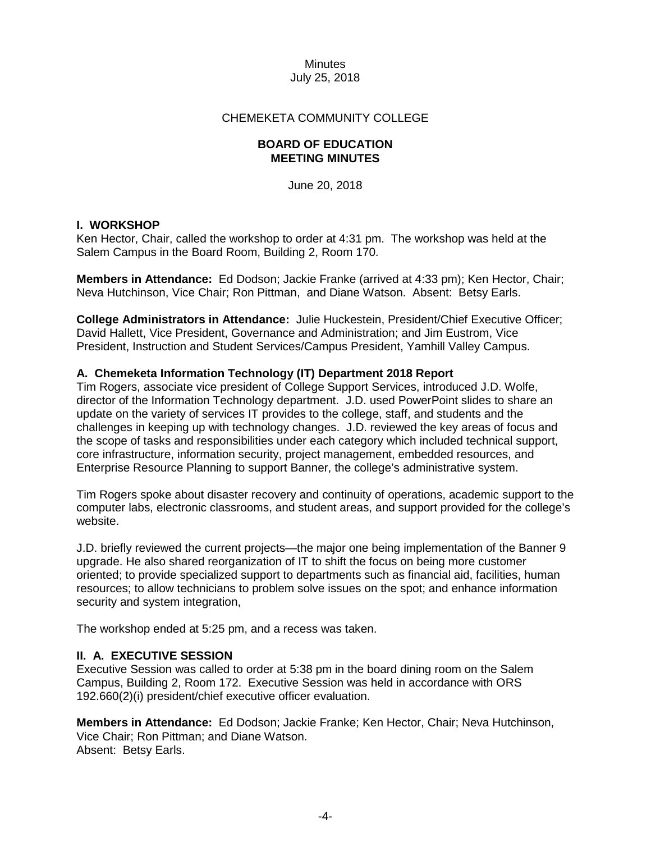### CHEMEKETA COMMUNITY COLLEGE

#### **BOARD OF EDUCATION MEETING MINUTES**

June 20, 2018

### **I. WORKSHOP**

Ken Hector, Chair, called the workshop to order at 4:31 pm. The workshop was held at the Salem Campus in the Board Room, Building 2, Room 170.

**Members in Attendance:** Ed Dodson; Jackie Franke (arrived at 4:33 pm); Ken Hector, Chair; Neva Hutchinson, Vice Chair; Ron Pittman, and Diane Watson. Absent: Betsy Earls.

**College Administrators in Attendance:** Julie Huckestein, President/Chief Executive Officer; David Hallett, Vice President, Governance and Administration; and Jim Eustrom, Vice President, Instruction and Student Services/Campus President, Yamhill Valley Campus.

### **A. Chemeketa Information Technology (IT) Department 2018 Report**

Tim Rogers, associate vice president of College Support Services, introduced J.D. Wolfe, director of the Information Technology department. J.D. used PowerPoint slides to share an update on the variety of services IT provides to the college, staff, and students and the challenges in keeping up with technology changes. J.D. reviewed the key areas of focus and the scope of tasks and responsibilities under each category which included technical support, core infrastructure, information security, project management, embedded resources, and Enterprise Resource Planning to support Banner, the college's administrative system.

Tim Rogers spoke about disaster recovery and continuity of operations, academic support to the computer labs, electronic classrooms, and student areas, and support provided for the college's website.

J.D. briefly reviewed the current projects—the major one being implementation of the Banner 9 upgrade. He also shared reorganization of IT to shift the focus on being more customer oriented; to provide specialized support to departments such as financial aid, facilities, human resources; to allow technicians to problem solve issues on the spot; and enhance information security and system integration,

The workshop ended at 5:25 pm, and a recess was taken.

# **II. A. EXECUTIVE SESSION**

Executive Session was called to order at 5:38 pm in the board dining room on the Salem Campus, Building 2, Room 172. Executive Session was held in accordance with ORS 192.660(2)(i) president/chief executive officer evaluation.

**Members in Attendance:** Ed Dodson; Jackie Franke; Ken Hector, Chair; Neva Hutchinson, Vice Chair; Ron Pittman; and Diane Watson. Absent: Betsy Earls.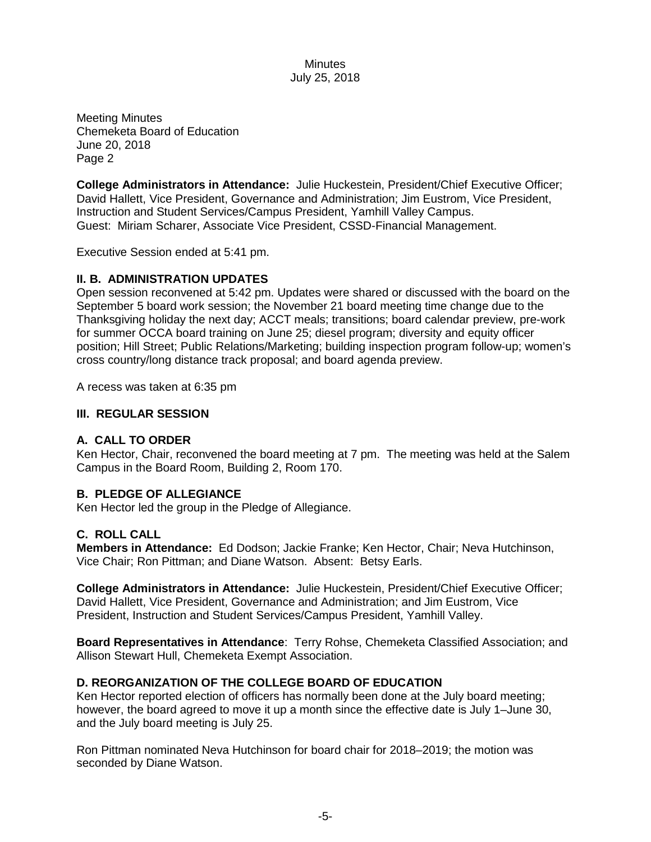Meeting Minutes Chemeketa Board of Education June 20, 2018 Page 2

**College Administrators in Attendance:** Julie Huckestein, President/Chief Executive Officer; David Hallett, Vice President, Governance and Administration; Jim Eustrom, Vice President, Instruction and Student Services/Campus President, Yamhill Valley Campus. Guest: Miriam Scharer, Associate Vice President, CSSD-Financial Management.

Executive Session ended at 5:41 pm.

#### **II. B. ADMINISTRATION UPDATES**

Open session reconvened at 5:42 pm. Updates were shared or discussed with the board on the September 5 board work session; the November 21 board meeting time change due to the Thanksgiving holiday the next day; ACCT meals; transitions; board calendar preview, pre-work for summer OCCA board training on June 25; diesel program; diversity and equity officer position; Hill Street; Public Relations/Marketing; building inspection program follow-up; women's cross country/long distance track proposal; and board agenda preview.

A recess was taken at 6:35 pm

#### **III. REGULAR SESSION**

#### **A. CALL TO ORDER**

Ken Hector, Chair, reconvened the board meeting at 7 pm. The meeting was held at the Salem Campus in the Board Room, Building 2, Room 170.

#### **B. PLEDGE OF ALLEGIANCE**

Ken Hector led the group in the Pledge of Allegiance.

#### **C. ROLL CALL**

**Members in Attendance:** Ed Dodson; Jackie Franke; Ken Hector, Chair; Neva Hutchinson, Vice Chair; Ron Pittman; and Diane Watson. Absent: Betsy Earls.

**College Administrators in Attendance:** Julie Huckestein, President/Chief Executive Officer; David Hallett, Vice President, Governance and Administration; and Jim Eustrom, Vice President, Instruction and Student Services/Campus President, Yamhill Valley.

**Board Representatives in Attendance**: Terry Rohse, Chemeketa Classified Association; and Allison Stewart Hull, Chemeketa Exempt Association.

#### **D. REORGANIZATION OF THE COLLEGE BOARD OF EDUCATION**

Ken Hector reported election of officers has normally been done at the July board meeting; however, the board agreed to move it up a month since the effective date is July 1–June 30, and the July board meeting is July 25.

Ron Pittman nominated Neva Hutchinson for board chair for 2018–2019; the motion was seconded by Diane Watson.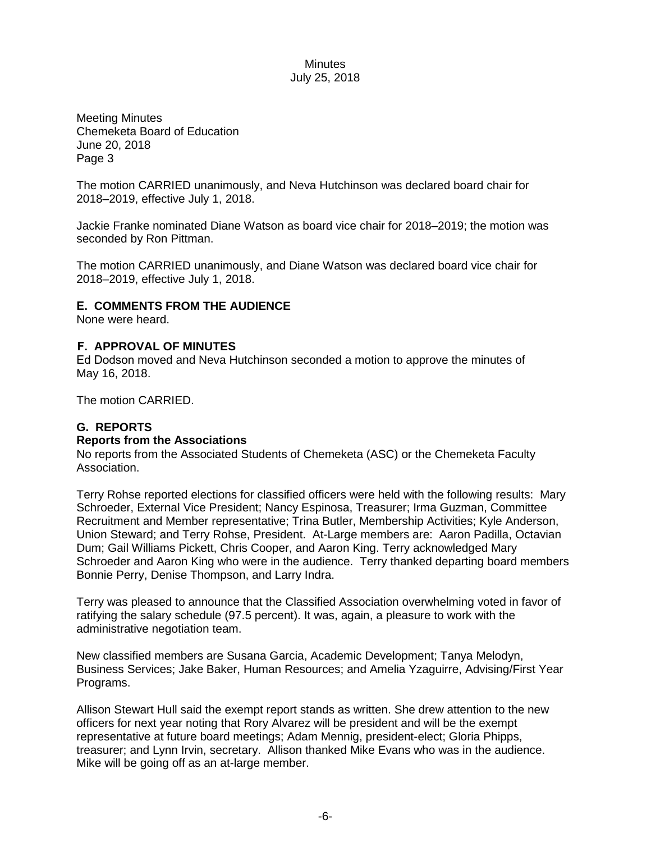Meeting Minutes Chemeketa Board of Education June 20, 2018 Page 3

The motion CARRIED unanimously, and Neva Hutchinson was declared board chair for 2018–2019, effective July 1, 2018.

Jackie Franke nominated Diane Watson as board vice chair for 2018–2019; the motion was seconded by Ron Pittman.

The motion CARRIED unanimously, and Diane Watson was declared board vice chair for 2018–2019, effective July 1, 2018.

### **E. COMMENTS FROM THE AUDIENCE**

None were heard.

#### **F. APPROVAL OF MINUTES**

Ed Dodson moved and Neva Hutchinson seconded a motion to approve the minutes of May 16, 2018.

The motion CARRIED.

# **G. REPORTS**

#### **Reports from the Associations**

No reports from the Associated Students of Chemeketa (ASC) or the Chemeketa Faculty Association.

Terry Rohse reported elections for classified officers were held with the following results: Mary Schroeder, External Vice President; Nancy Espinosa, Treasurer; Irma Guzman, Committee Recruitment and Member representative; Trina Butler, Membership Activities; Kyle Anderson, Union Steward; and Terry Rohse, President. At-Large members are: Aaron Padilla, Octavian Dum; Gail Williams Pickett, Chris Cooper, and Aaron King. Terry acknowledged Mary Schroeder and Aaron King who were in the audience. Terry thanked departing board members Bonnie Perry, Denise Thompson, and Larry Indra.

Terry was pleased to announce that the Classified Association overwhelming voted in favor of ratifying the salary schedule (97.5 percent). It was, again, a pleasure to work with the administrative negotiation team.

New classified members are Susana Garcia, Academic Development; Tanya Melodyn, Business Services; Jake Baker, Human Resources; and Amelia Yzaguirre, Advising/First Year Programs.

Allison Stewart Hull said the exempt report stands as written. She drew attention to the new officers for next year noting that Rory Alvarez will be president and will be the exempt representative at future board meetings; Adam Mennig, president-elect; Gloria Phipps, treasurer; and Lynn Irvin, secretary. Allison thanked Mike Evans who was in the audience. Mike will be going off as an at-large member.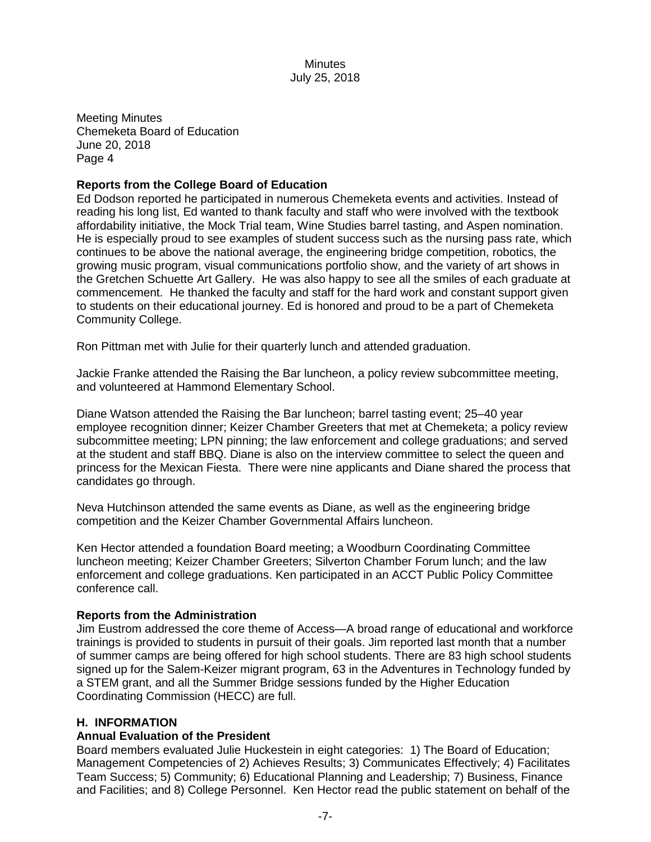Meeting Minutes Chemeketa Board of Education June 20, 2018 Page 4

### **Reports from the College Board of Education**

Ed Dodson reported he participated in numerous Chemeketa events and activities. Instead of reading his long list, Ed wanted to thank faculty and staff who were involved with the textbook affordability initiative, the Mock Trial team, Wine Studies barrel tasting, and Aspen nomination. He is especially proud to see examples of student success such as the nursing pass rate, which continues to be above the national average, the engineering bridge competition, robotics, the growing music program, visual communications portfolio show, and the variety of art shows in the Gretchen Schuette Art Gallery. He was also happy to see all the smiles of each graduate at commencement. He thanked the faculty and staff for the hard work and constant support given to students on their educational journey. Ed is honored and proud to be a part of Chemeketa Community College.

Ron Pittman met with Julie for their quarterly lunch and attended graduation.

Jackie Franke attended the Raising the Bar luncheon, a policy review subcommittee meeting, and volunteered at Hammond Elementary School.

Diane Watson attended the Raising the Bar luncheon; barrel tasting event; 25–40 year employee recognition dinner; Keizer Chamber Greeters that met at Chemeketa; a policy review subcommittee meeting; LPN pinning; the law enforcement and college graduations; and served at the student and staff BBQ. Diane is also on the interview committee to select the queen and princess for the Mexican Fiesta. There were nine applicants and Diane shared the process that candidates go through.

Neva Hutchinson attended the same events as Diane, as well as the engineering bridge competition and the Keizer Chamber Governmental Affairs luncheon.

Ken Hector attended a foundation Board meeting; a Woodburn Coordinating Committee luncheon meeting; Keizer Chamber Greeters; Silverton Chamber Forum lunch; and the law enforcement and college graduations. Ken participated in an ACCT Public Policy Committee conference call.

#### **Reports from the Administration**

Jim Eustrom addressed the core theme of Access—A broad range of educational and workforce trainings is provided to students in pursuit of their goals. Jim reported last month that a number of summer camps are being offered for high school students. There are 83 high school students signed up for the Salem-Keizer migrant program, 63 in the Adventures in Technology funded by a STEM grant, and all the Summer Bridge sessions funded by the Higher Education Coordinating Commission (HECC) are full.

#### **H. INFORMATION**

#### **Annual Evaluation of the President**

Board members evaluated Julie Huckestein in eight categories: 1) The Board of Education; Management Competencies of 2) Achieves Results; 3) Communicates Effectively; 4) Facilitates Team Success; 5) Community; 6) Educational Planning and Leadership; 7) Business, Finance and Facilities; and 8) College Personnel. Ken Hector read the public statement on behalf of the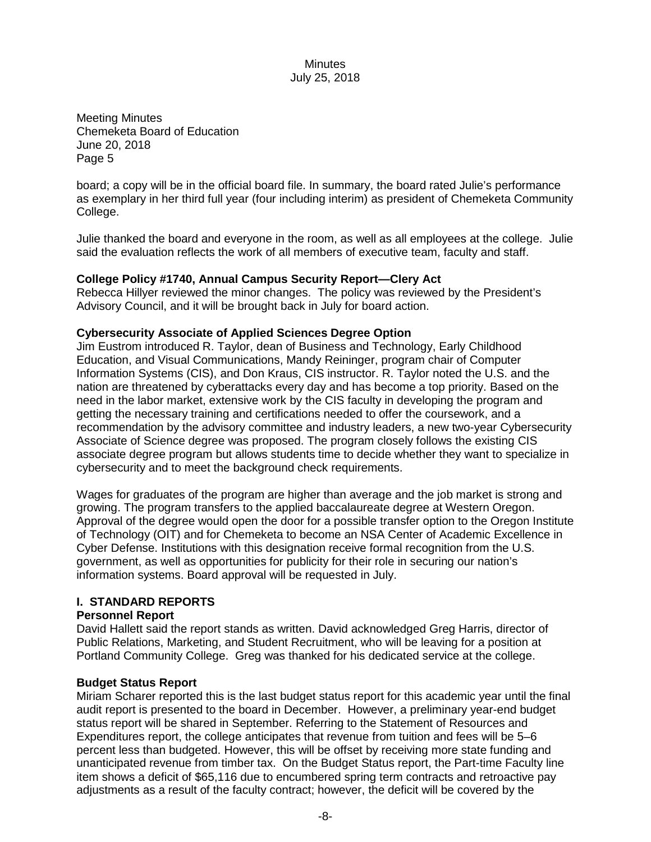Meeting Minutes Chemeketa Board of Education June 20, 2018 Page 5

board; a copy will be in the official board file. In summary, the board rated Julie's performance as exemplary in her third full year (four including interim) as president of Chemeketa Community College.

Julie thanked the board and everyone in the room, as well as all employees at the college. Julie said the evaluation reflects the work of all members of executive team, faculty and staff.

#### **College Policy #1740, Annual Campus Security Report—Clery Act**

Rebecca Hillyer reviewed the minor changes. The policy was reviewed by the President's Advisory Council, and it will be brought back in July for board action.

#### **Cybersecurity Associate of Applied Sciences Degree Option**

Jim Eustrom introduced R. Taylor, dean of Business and Technology, Early Childhood Education, and Visual Communications, Mandy Reininger, program chair of Computer Information Systems (CIS), and Don Kraus, CIS instructor. R. Taylor noted the U.S. and the nation are threatened by cyberattacks every day and has become a top priority. Based on the need in the labor market, extensive work by the CIS faculty in developing the program and getting the necessary training and certifications needed to offer the coursework, and a recommendation by the advisory committee and industry leaders, a new two-year Cybersecurity Associate of Science degree was proposed. The program closely follows the existing CIS associate degree program but allows students time to decide whether they want to specialize in cybersecurity and to meet the background check requirements.

Wages for graduates of the program are higher than average and the job market is strong and growing. The program transfers to the applied baccalaureate degree at Western Oregon. Approval of the degree would open the door for a possible transfer option to the Oregon Institute of Technology (OIT) and for Chemeketa to become an NSA Center of Academic Excellence in Cyber Defense. Institutions with this designation receive formal recognition from the U.S. government, as well as opportunities for publicity for their role in securing our nation's information systems. Board approval will be requested in July.

#### **I. STANDARD REPORTS**

#### **Personnel Report**

David Hallett said the report stands as written. David acknowledged Greg Harris, director of Public Relations, Marketing, and Student Recruitment, who will be leaving for a position at Portland Community College. Greg was thanked for his dedicated service at the college.

#### **Budget Status Report**

Miriam Scharer reported this is the last budget status report for this academic year until the final audit report is presented to the board in December. However, a preliminary year-end budget status report will be shared in September. Referring to the Statement of Resources and Expenditures report, the college anticipates that revenue from tuition and fees will be 5–6 percent less than budgeted. However, this will be offset by receiving more state funding and unanticipated revenue from timber tax. On the Budget Status report, the Part-time Faculty line item shows a deficit of \$65,116 due to encumbered spring term contracts and retroactive pay adjustments as a result of the faculty contract; however, the deficit will be covered by the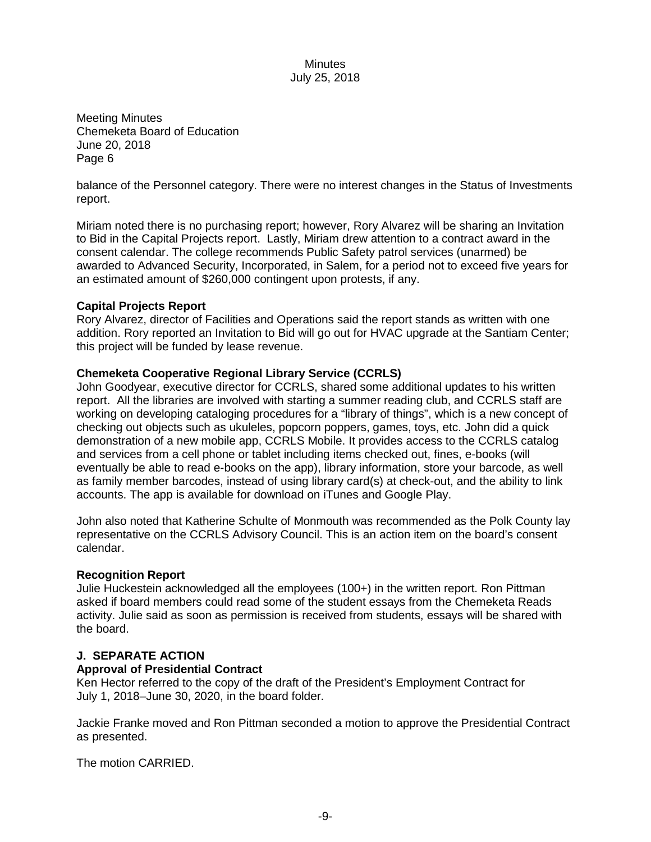Meeting Minutes Chemeketa Board of Education June 20, 2018 Page 6

balance of the Personnel category. There were no interest changes in the Status of Investments report.

Miriam noted there is no purchasing report; however, Rory Alvarez will be sharing an Invitation to Bid in the Capital Projects report. Lastly, Miriam drew attention to a contract award in the consent calendar. The college recommends Public Safety patrol services (unarmed) be awarded to Advanced Security, Incorporated, in Salem, for a period not to exceed five years for an estimated amount of \$260,000 contingent upon protests, if any.

#### **Capital Projects Report**

Rory Alvarez, director of Facilities and Operations said the report stands as written with one addition. Rory reported an Invitation to Bid will go out for HVAC upgrade at the Santiam Center; this project will be funded by lease revenue.

### **Chemeketa Cooperative Regional Library Service (CCRLS)**

John Goodyear, executive director for CCRLS, shared some additional updates to his written report. All the libraries are involved with starting a summer reading club, and CCRLS staff are working on developing cataloging procedures for a "library of things", which is a new concept of checking out objects such as ukuleles, popcorn poppers, games, toys, etc. John did a quick demonstration of a new mobile app, CCRLS Mobile. It provides access to the CCRLS catalog and services from a cell phone or tablet including items checked out, fines, e-books (will eventually be able to read e-books on the app), library information, store your barcode, as well as family member barcodes, instead of using library card(s) at check-out, and the ability to link accounts. The app is available for download on iTunes and Google Play.

John also noted that Katherine Schulte of Monmouth was recommended as the Polk County lay representative on the CCRLS Advisory Council. This is an action item on the board's consent calendar.

#### **Recognition Report**

Julie Huckestein acknowledged all the employees (100+) in the written report. Ron Pittman asked if board members could read some of the student essays from the Chemeketa Reads activity. Julie said as soon as permission is received from students, essays will be shared with the board.

### **J. SEPARATE ACTION**

#### **Approval of Presidential Contract**

Ken Hector referred to the copy of the draft of the President's Employment Contract for July 1, 2018–June 30, 2020, in the board folder.

Jackie Franke moved and Ron Pittman seconded a motion to approve the Presidential Contract as presented.

The motion CARRIED.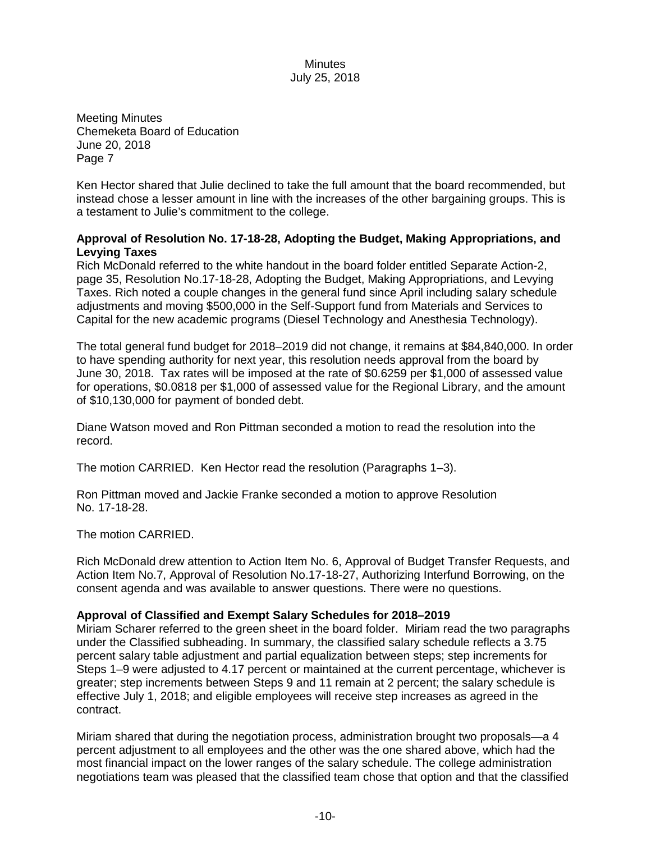Meeting Minutes Chemeketa Board of Education June 20, 2018 Page 7

Ken Hector shared that Julie declined to take the full amount that the board recommended, but instead chose a lesser amount in line with the increases of the other bargaining groups. This is a testament to Julie's commitment to the college.

### **Approval of Resolution No. 17-18-28, Adopting the Budget, Making Appropriations, and Levying Taxes**

Rich McDonald referred to the white handout in the board folder entitled Separate Action-2, page 35, Resolution No.17-18-28, Adopting the Budget, Making Appropriations, and Levying Taxes. Rich noted a couple changes in the general fund since April including salary schedule adjustments and moving \$500,000 in the Self-Support fund from Materials and Services to Capital for the new academic programs (Diesel Technology and Anesthesia Technology).

The total general fund budget for 2018–2019 did not change, it remains at \$84,840,000. In order to have spending authority for next year, this resolution needs approval from the board by June 30, 2018. Tax rates will be imposed at the rate of \$0.6259 per \$1,000 of assessed value for operations, \$0.0818 per \$1,000 of assessed value for the Regional Library, and the amount of \$10,130,000 for payment of bonded debt.

Diane Watson moved and Ron Pittman seconded a motion to read the resolution into the record.

The motion CARRIED. Ken Hector read the resolution (Paragraphs 1–3).

Ron Pittman moved and Jackie Franke seconded a motion to approve Resolution No. 17-18-28.

The motion CARRIED.

Rich McDonald drew attention to Action Item No. 6, Approval of Budget Transfer Requests, and Action Item No.7, Approval of Resolution No.17-18-27, Authorizing Interfund Borrowing, on the consent agenda and was available to answer questions. There were no questions.

#### **Approval of Classified and Exempt Salary Schedules for 2018–2019**

Miriam Scharer referred to the green sheet in the board folder. Miriam read the two paragraphs under the Classified subheading. In summary, the classified salary schedule reflects a 3.75 percent salary table adjustment and partial equalization between steps; step increments for Steps 1–9 were adjusted to 4.17 percent or maintained at the current percentage, whichever is greater; step increments between Steps 9 and 11 remain at 2 percent; the salary schedule is effective July 1, 2018; and eligible employees will receive step increases as agreed in the contract.

Miriam shared that during the negotiation process, administration brought two proposals—a 4 percent adjustment to all employees and the other was the one shared above, which had the most financial impact on the lower ranges of the salary schedule. The college administration negotiations team was pleased that the classified team chose that option and that the classified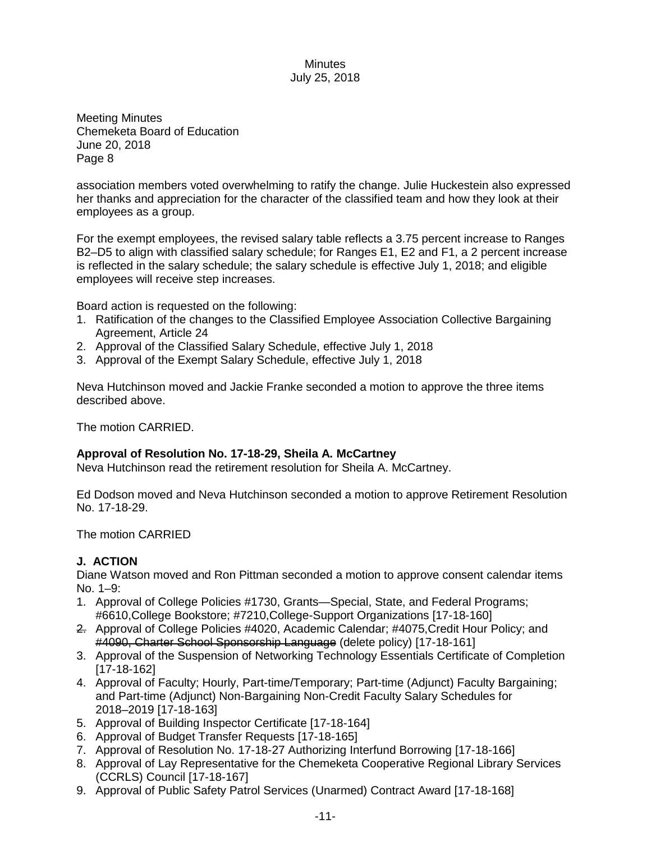Meeting Minutes Chemeketa Board of Education June 20, 2018 Page 8

association members voted overwhelming to ratify the change. Julie Huckestein also expressed her thanks and appreciation for the character of the classified team and how they look at their employees as a group.

For the exempt employees, the revised salary table reflects a 3.75 percent increase to Ranges B2–D5 to align with classified salary schedule; for Ranges E1, E2 and F1, a 2 percent increase is reflected in the salary schedule; the salary schedule is effective July 1, 2018; and eligible employees will receive step increases.

Board action is requested on the following:

- 1. Ratification of the changes to the Classified Employee Association Collective Bargaining Agreement, Article 24
- 2. Approval of the Classified Salary Schedule, effective July 1, 2018
- 3. Approval of the Exempt Salary Schedule, effective July 1, 2018

Neva Hutchinson moved and Jackie Franke seconded a motion to approve the three items described above.

The motion CARRIED.

# **Approval of Resolution No. 17-18-29, Sheila A. McCartney**

Neva Hutchinson read the retirement resolution for Sheila A. McCartney.

Ed Dodson moved and Neva Hutchinson seconded a motion to approve Retirement Resolution No. 17-18-29.

The motion CARRIED

# **J. ACTION**

Diane Watson moved and Ron Pittman seconded a motion to approve consent calendar items No. 1–9:

- 1. Approval of College Policies #1730, Grants—Special, State, and Federal Programs; #6610,College Bookstore; #7210,College-Support Organizations [17-18-160]
- 2. Approval of College Policies #4020, Academic Calendar; #4075,Credit Hour Policy; and #4090, Charter School Sponsorship Language (delete policy) [17-18-161]
- 3. Approval of the Suspension of Networking Technology Essentials Certificate of Completion [17-18-162]
- 4. Approval of Faculty; Hourly, Part-time/Temporary; Part-time (Adjunct) Faculty Bargaining; and Part-time (Adjunct) Non-Bargaining Non-Credit Faculty Salary Schedules for 2018–2019 [17-18-163]
- 5. Approval of Building Inspector Certificate [17-18-164]
- 6. Approval of Budget Transfer Requests [17-18-165]
- 7. Approval of Resolution No. 17-18-27 Authorizing Interfund Borrowing [17-18-166]
- 8. Approval of Lay Representative for the Chemeketa Cooperative Regional Library Services (CCRLS) Council [17-18-167]
- 9. Approval of Public Safety Patrol Services (Unarmed) Contract Award [17-18-168]